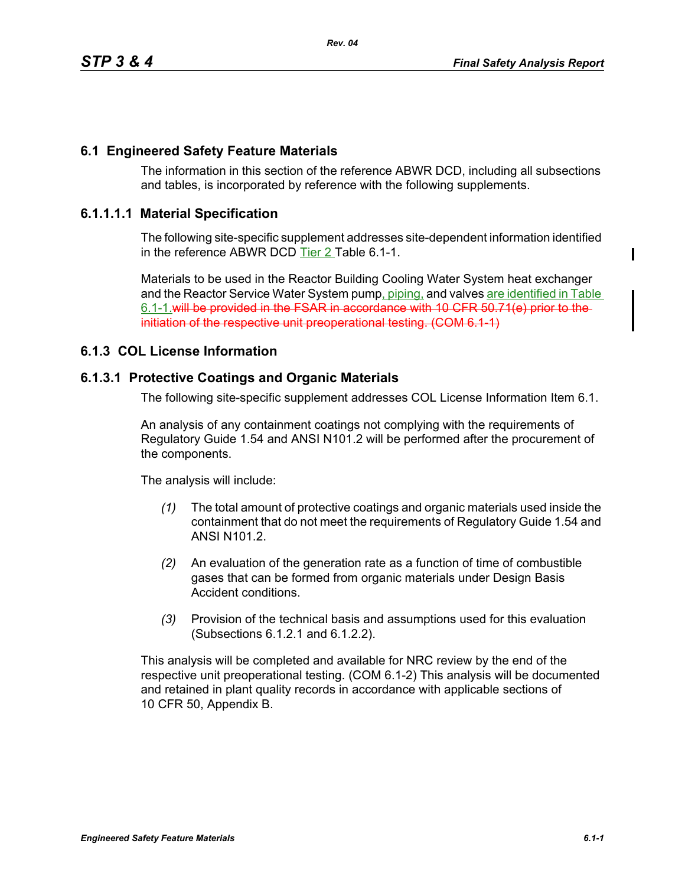# **6.1 Engineered Safety Feature Materials**

The information in this section of the reference ABWR DCD, including all subsections and tables, is incorporated by reference with the following supplements.

### **6.1.1.1.1 Material Specification**

The following site-specific supplement addresses site-dependent information identified in the reference ABWR DCD Tier 2 Table 6.1-1.

Materials to be used in the Reactor Building Cooling Water System heat exchanger and the Reactor Service Water System pump, piping, and valves are identified in Table 6.1-1.will be provided in the FSAR in accordance with 10 CFR 50.71(e) prior to the initiation of the respective unit preoperational testing. (COM 6.1-1)

#### **6.1.3 COL License Information**

# **6.1.3.1 Protective Coatings and Organic Materials**

The following site-specific supplement addresses COL License Information Item 6.1.

An analysis of any containment coatings not complying with the requirements of Regulatory Guide 1.54 and ANSI N101.2 will be performed after the procurement of the components.

The analysis will include:

- *(1)* The total amount of protective coatings and organic materials used inside the containment that do not meet the requirements of Regulatory Guide 1.54 and ANSI N101.2.
- *(2)* An evaluation of the generation rate as a function of time of combustible gases that can be formed from organic materials under Design Basis Accident conditions.
- *(3)* Provision of the technical basis and assumptions used for this evaluation (Subsections 6.1.2.1 and 6.1.2.2).

This analysis will be completed and available for NRC review by the end of the respective unit preoperational testing. (COM 6.1-2) This analysis will be documented and retained in plant quality records in accordance with applicable sections of 10 CFR 50, Appendix B.